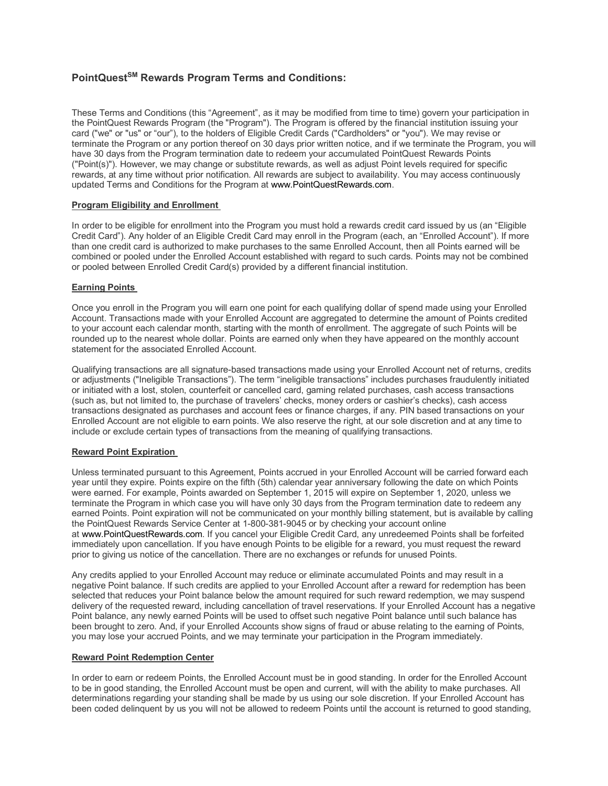# **PointQuestSM Rewards Program Terms and Conditions:**

These Terms and Conditions (this "Agreement", as it may be modified from time to time) govern your participation in the PointQuest Rewards Program (the "Program"). The Program is offered by the financial institution issuing your card ("we" or "us" or "our"), to the holders of Eligible Credit Cards ("Cardholders" or "you"). We may revise or terminate the Program or any portion thereof on 30 days prior written notice, and if we terminate the Program, you will have 30 days from the Program termination date to redeem your accumulated PointQuest Rewards Points ("Point(s)"). However, we may change or substitute rewards, as well as adjust Point levels required for specific rewards, at any time without prior notification. All rewards are subject to availability. You may access continuously updated Terms and Conditions for the Program at www.PointQuestRewards.com.

# **Program Eligibility and Enrollment**

In order to be eligible for enrollment into the Program you must hold a rewards credit card issued by us (an "Eligible Credit Card"). Any holder of an Eligible Credit Card may enroll in the Program (each, an "Enrolled Account"). If more than one credit card is authorized to make purchases to the same Enrolled Account, then all Points earned will be combined or pooled under the Enrolled Account established with regard to such cards. Points may not be combined or pooled between Enrolled Credit Card(s) provided by a different financial institution.

# **Earning Points**

Once you enroll in the Program you will earn one point for each qualifying dollar of spend made using your Enrolled Account. Transactions made with your Enrolled Account are aggregated to determine the amount of Points credited to your account each calendar month, starting with the month of enrollment. The aggregate of such Points will be rounded up to the nearest whole dollar. Points are earned only when they have appeared on the monthly account statement for the associated Enrolled Account.

Qualifying transactions are all signature-based transactions made using your Enrolled Account net of returns, credits or adjustments ("Ineligible Transactions"). The term "ineligible transactions" includes purchases fraudulently initiated or initiated with a lost, stolen, counterfeit or cancelled card, gaming related purchases, cash access transactions (such as, but not limited to, the purchase of travelers' checks, money orders or cashier's checks), cash access transactions designated as purchases and account fees or finance charges, if any. PIN based transactions on your Enrolled Account are not eligible to earn points. We also reserve the right, at our sole discretion and at any time to include or exclude certain types of transactions from the meaning of qualifying transactions.

# **Reward Point Expiration**

Unless terminated pursuant to this Agreement, Points accrued in your Enrolled Account will be carried forward each year until they expire. Points expire on the fifth (5th) calendar year anniversary following the date on which Points were earned. For example, Points awarded on September 1, 2015 will expire on September 1, 2020, unless we terminate the Program in which case you will have only 30 days from the Program termination date to redeem any earned Points. Point expiration will not be communicated on your monthly billing statement, but is available by calling the PointQuest Rewards Service Center at 1-800-381-9045 or by checking your account online at www.PointQuestRewards.com. If you cancel your Eligible Credit Card, any unredeemed Points shall be forfeited immediately upon cancellation. If you have enough Points to be eligible for a reward, you must request the reward prior to giving us notice of the cancellation. There are no exchanges or refunds for unused Points.

Any credits applied to your Enrolled Account may reduce or eliminate accumulated Points and may result in a negative Point balance. If such credits are applied to your Enrolled Account after a reward for redemption has been selected that reduces your Point balance below the amount required for such reward redemption, we may suspend delivery of the requested reward, including cancellation of travel reservations. If your Enrolled Account has a negative Point balance, any newly earned Points will be used to offset such negative Point balance until such balance has been brought to zero. And, if your Enrolled Accounts show signs of fraud or abuse relating to the earning of Points, you may lose your accrued Points, and we may terminate your participation in the Program immediately.

# **Reward Point Redemption Center**

In order to earn or redeem Points, the Enrolled Account must be in good standing. In order for the Enrolled Account to be in good standing, the Enrolled Account must be open and current, will with the ability to make purchases. All determinations regarding your standing shall be made by us using our sole discretion. If your Enrolled Account has been coded delinquent by us you will not be allowed to redeem Points until the account is returned to good standing,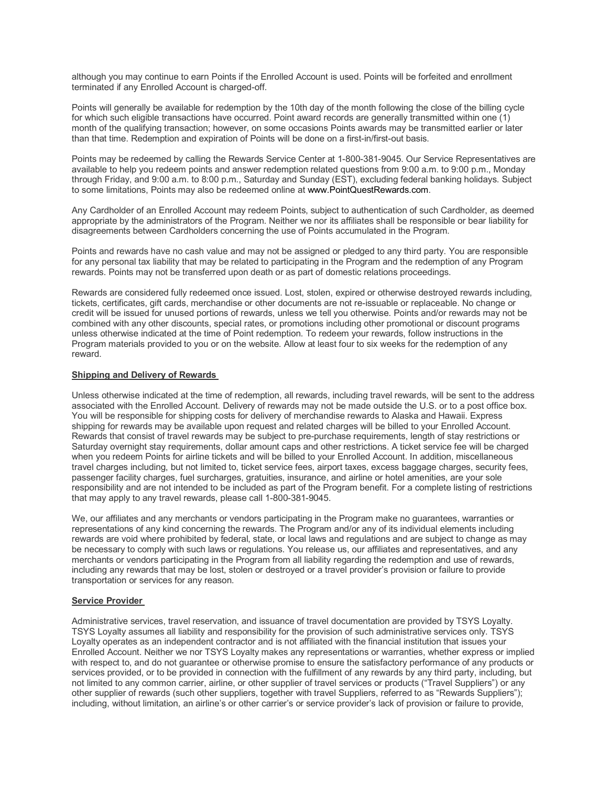although you may continue to earn Points if the Enrolled Account is used. Points will be forfeited and enrollment terminated if any Enrolled Account is charged-off.

Points will generally be available for redemption by the 10th day of the month following the close of the billing cycle for which such eligible transactions have occurred. Point award records are generally transmitted within one (1) month of the qualifying transaction; however, on some occasions Points awards may be transmitted earlier or later than that time. Redemption and expiration of Points will be done on a first-in/first-out basis.

Points may be redeemed by calling the Rewards Service Center at 1-800-381-9045. Our Service Representatives are available to help you redeem points and answer redemption related questions from 9:00 a.m. to 9:00 p.m., Monday through Friday, and 9:00 a.m. to 8:00 p.m., Saturday and Sunday (EST), excluding federal banking holidays. Subject to some limitations, Points may also be redeemed online at www.PointQuestRewards.com.

Any Cardholder of an Enrolled Account may redeem Points, subject to authentication of such Cardholder, as deemed appropriate by the administrators of the Program. Neither we nor its affiliates shall be responsible or bear liability for disagreements between Cardholders concerning the use of Points accumulated in the Program.

Points and rewards have no cash value and may not be assigned or pledged to any third party. You are responsible for any personal tax liability that may be related to participating in the Program and the redemption of any Program rewards. Points may not be transferred upon death or as part of domestic relations proceedings.

Rewards are considered fully redeemed once issued. Lost, stolen, expired or otherwise destroyed rewards including, tickets, certificates, gift cards, merchandise or other documents are not re-issuable or replaceable. No change or credit will be issued for unused portions of rewards, unless we tell you otherwise. Points and/or rewards may not be combined with any other discounts, special rates, or promotions including other promotional or discount programs unless otherwise indicated at the time of Point redemption. To redeem your rewards, follow instructions in the Program materials provided to you or on the website. Allow at least four to six weeks for the redemption of any reward.

# **Shipping and Delivery of Rewards**

Unless otherwise indicated at the time of redemption, all rewards, including travel rewards, will be sent to the address associated with the Enrolled Account. Delivery of rewards may not be made outside the U.S. or to a post office box. You will be responsible for shipping costs for delivery of merchandise rewards to Alaska and Hawaii. Express shipping for rewards may be available upon request and related charges will be billed to your Enrolled Account. Rewards that consist of travel rewards may be subject to pre-purchase requirements, length of stay restrictions or Saturday overnight stay requirements, dollar amount caps and other restrictions. A ticket service fee will be charged when you redeem Points for airline tickets and will be billed to your Enrolled Account. In addition, miscellaneous travel charges including, but not limited to, ticket service fees, airport taxes, excess baggage charges, security fees, passenger facility charges, fuel surcharges, gratuities, insurance, and airline or hotel amenities, are your sole responsibility and are not intended to be included as part of the Program benefit. For a complete listing of restrictions that may apply to any travel rewards, please call 1-800-381-9045.

We, our affiliates and any merchants or vendors participating in the Program make no guarantees, warranties or representations of any kind concerning the rewards. The Program and/or any of its individual elements including rewards are void where prohibited by federal, state, or local laws and regulations and are subject to change as may be necessary to comply with such laws or regulations. You release us, our affiliates and representatives, and any merchants or vendors participating in the Program from all liability regarding the redemption and use of rewards, including any rewards that may be lost, stolen or destroyed or a travel provider's provision or failure to provide transportation or services for any reason.

# **Service Provider**

Administrative services, travel reservation, and issuance of travel documentation are provided by TSYS Loyalty. TSYS Loyalty assumes all liability and responsibility for the provision of such administrative services only. TSYS Loyalty operates as an independent contractor and is not affiliated with the financial institution that issues your Enrolled Account. Neither we nor TSYS Loyalty makes any representations or warranties, whether express or implied with respect to, and do not guarantee or otherwise promise to ensure the satisfactory performance of any products or services provided, or to be provided in connection with the fulfillment of any rewards by any third party, including, but not limited to any common carrier, airline, or other supplier of travel services or products ("Travel Suppliers") or any other supplier of rewards (such other suppliers, together with travel Suppliers, referred to as "Rewards Suppliers"); including, without limitation, an airline's or other carrier's or service provider's lack of provision or failure to provide,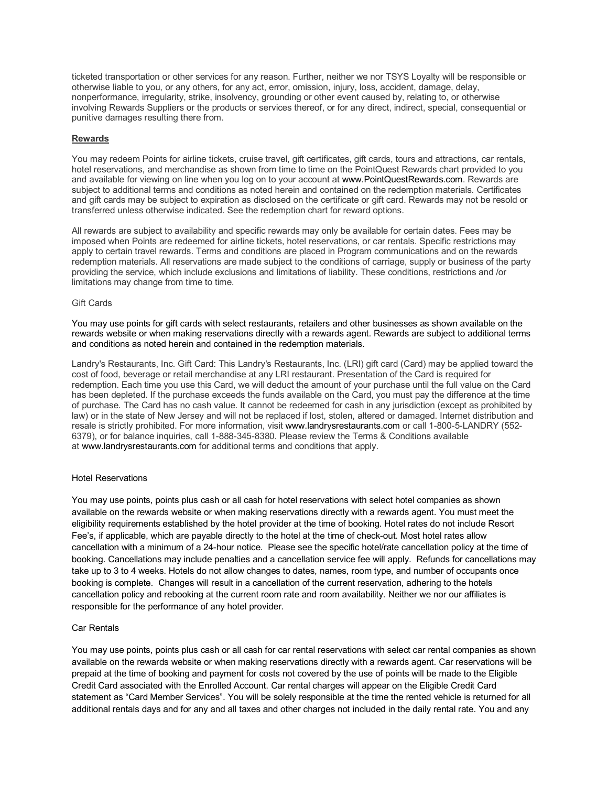ticketed transportation or other services for any reason. Further, neither we nor TSYS Loyalty will be responsible or otherwise liable to you, or any others, for any act, error, omission, injury, loss, accident, damage, delay, nonperformance, irregularity, strike, insolvency, grounding or other event caused by, relating to, or otherwise involving Rewards Suppliers or the products or services thereof, or for any direct, indirect, special, consequential or punitive damages resulting there from.

### **Rewards**

You may redeem Points for airline tickets, cruise travel, gift certificates, gift cards, tours and attractions, car rentals, hotel reservations, and merchandise as shown from time to time on the PointQuest Rewards chart provided to you and available for viewing on line when you log on to your account at www.PointQuestRewards.com. Rewards are subject to additional terms and conditions as noted herein and contained on the redemption materials. Certificates and gift cards may be subject to expiration as disclosed on the certificate or gift card. Rewards may not be resold or transferred unless otherwise indicated. See the redemption chart for reward options.

All rewards are subject to availability and specific rewards may only be available for certain dates. Fees may be imposed when Points are redeemed for airline tickets, hotel reservations, or car rentals. Specific restrictions may apply to certain travel rewards. Terms and conditions are placed in Program communications and on the rewards redemption materials. All reservations are made subject to the conditions of carriage, supply or business of the party providing the service, which include exclusions and limitations of liability. These conditions, restrictions and /or limitations may change from time to time.

### Gift Cards

You may use points for gift cards with select restaurants, retailers and other businesses as shown available on the rewards website or when making reservations directly with a rewards agent. Rewards are subject to additional terms and conditions as noted herein and contained in the redemption materials.

Landry's Restaurants, Inc. Gift Card: This Landry's Restaurants, Inc. (LRI) gift card (Card) may be applied toward the cost of food, beverage or retail merchandise at any LRI restaurant. Presentation of the Card is required for redemption. Each time you use this Card, we will deduct the amount of your purchase until the full value on the Card has been depleted. If the purchase exceeds the funds available on the Card, you must pay the difference at the time of purchase. The Card has no cash value. It cannot be redeemed for cash in any jurisdiction (except as prohibited by law) or in the state of New Jersey and will not be replaced if lost, stolen, altered or damaged. Internet distribution and resale is strictly prohibited. For more information, visit www.landrysrestaurants.com or call 1-800-5-LANDRY (552- 6379), or for balance inquiries, call 1-888-345-8380. Please review the Terms & Conditions available at www.landrysrestaurants.com for additional terms and conditions that apply.

#### Hotel Reservations

You may use points, points plus cash or all cash for hotel reservations with select hotel companies as shown available on the rewards website or when making reservations directly with a rewards agent. You must meet the eligibility requirements established by the hotel provider at the time of booking. Hotel rates do not include Resort Fee's, if applicable, which are payable directly to the hotel at the time of check-out. Most hotel rates allow cancellation with a minimum of a 24-hour notice. Please see the specific hotel/rate cancellation policy at the time of booking. Cancellations may include penalties and a cancellation service fee will apply. Refunds for cancellations may take up to 3 to 4 weeks. Hotels do not allow changes to dates, names, room type, and number of occupants once booking is complete. Changes will result in a cancellation of the current reservation, adhering to the hotels cancellation policy and rebooking at the current room rate and room availability. Neither we nor our affiliates is responsible for the performance of any hotel provider.

#### Car Rentals

You may use points, points plus cash or all cash for car rental reservations with select car rental companies as shown available on the rewards website or when making reservations directly with a rewards agent. Car reservations will be prepaid at the time of booking and payment for costs not covered by the use of points will be made to the Eligible Credit Card associated with the Enrolled Account. Car rental charges will appear on the Eligible Credit Card statement as "Card Member Services". You will be solely responsible at the time the rented vehicle is returned for all additional rentals days and for any and all taxes and other charges not included in the daily rental rate. You and any